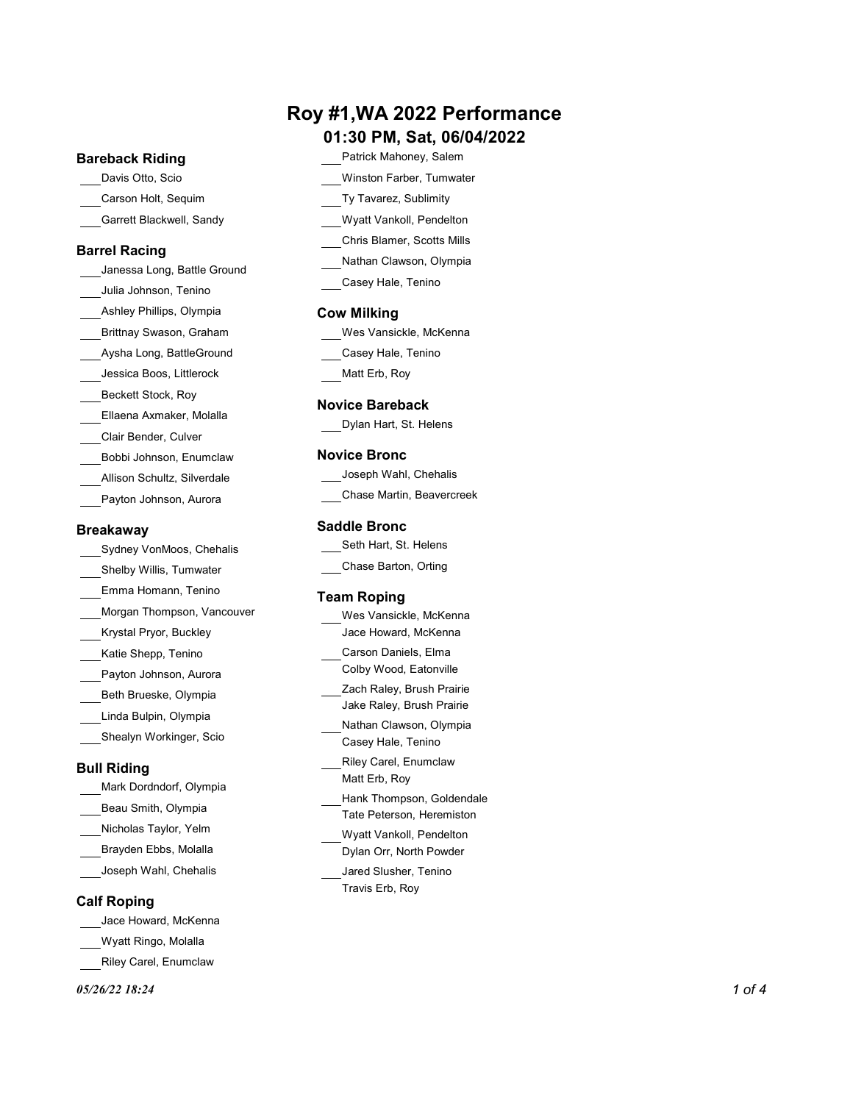## Roy #1,WA 2022 Performance

#### 01:30 PM, Sat, 06/04/2022

#### Bareback Riding

- 
- Garrett Blackwell, Sandy

#### Barrel Racing

Janessa Long, Battle Ground Julia Johnson, Tenino Ashley Phillips, Olympia Brittnay Swason, Graham Aysha Long, BattleGround Jessica Boos, Littlerock Beckett Stock, Roy Ellaena Axmaker, Molalla Clair Bender, Culver Bobbi Johnson, Enumclaw Allison Schultz, Silverdale Payton Johnson, Aurora **National Executor Contract Control** Chase Martin, Beavercreek

#### **Breakaway**

Sydney VonMoos, Chehalis Shelby Willis, Tumwater Emma Homann, Tenino Morgan Thompson, Vancouver Krystal Pryor, Buckley Katie Shepp, Tenino Payton Johnson, Aurora Beth Brueske, Olympia Linda Bulpin, Olympia Shealyn Workinger, Scio

### Bull Riding

Mark Dordndorf, Olympia Beau Smith, Olympia Nicholas Taylor, Yelm Brayden Ebbs, Molalla Joseph Wahl, Chehalis

#### Calf Roping

- Jace Howard, McKenna
- Wyatt Ringo, Molalla
- Riley Carel, Enumclaw

#### $0.05/26/22$  18:24 1 of 4

- Davis Otto, Scio Winston Farber, Tumwater Carson Holt, Sequim Ty Tavarez, Sublimity Patrick Mahoney, Salem
	- Wyatt Vankoll, Pendelton
	- Chris Blamer, Scotts Mills
	- Nathan Clawson, Olympia
	- Casey Hale, Tenino

#### Cow Milking

| Wes Vansickle, McKenna |  |  |
|------------------------|--|--|
| Casey Hale, Tenino     |  |  |

Matt Erb, Roy

#### Novice Bareback

Dylan Hart, St. Helens

#### Novice Bronc

| Joseph Wahl, Chehalis     |  |
|---------------------------|--|
| Chase Martin, Beavercreek |  |

#### Saddle Bronc

| Seth Hart, St. Helens |  |
|-----------------------|--|
| Chase Barton, Orting  |  |

#### Team Roping

| Wes Vansickle, McKenna                                 |  |
|--------------------------------------------------------|--|
| Jace Howard, McKenna                                   |  |
| Carson Daniels, Elma                                   |  |
| Colby Wood, Eatonville                                 |  |
| Zach Raley, Brush Prairie<br>Jake Raley, Brush Prairie |  |
| Nathan Clawson, Olympia                                |  |
| Casey Hale, Tenino                                     |  |
| Riley Carel, Enumclaw                                  |  |
| Matt Erb, Roy                                          |  |
| Hank Thompson, Goldendale                              |  |
| Tate Peterson, Heremiston                              |  |
| Wyatt Vankoll, Pendelton                               |  |
| Dylan Orr, North Powder                                |  |
| Jared Slusher, Tenino                                  |  |
| Travis Erb, Roy                                        |  |
|                                                        |  |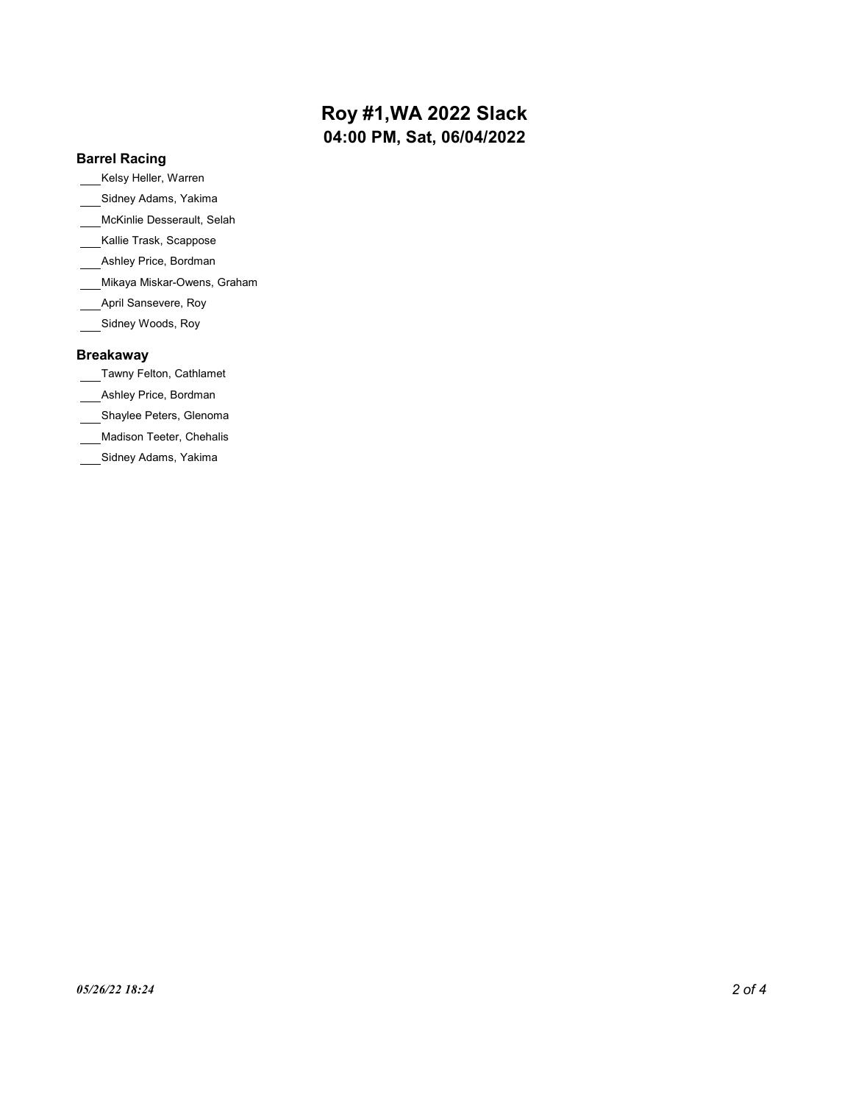## Roy #1,WA 2022 Slack 04:00 PM, Sat, 06/04/2022

#### Barrel Racing

Kelsy Heller, Warren

- Sidney Adams, Yakima
- McKinlie Desserault, Selah
- Kallie Trask, Scappose
- Ashley Price, Bordman
- Mikaya Miskar-Owens, Graham
- April Sansevere, Roy
- Sidney Woods, Roy

#### Breakaway

- Tawny Felton, Cathlamet
- Ashley Price, Bordman
- Shaylee Peters, Glenoma
- Madison Teeter, Chehalis
- Sidney Adams, Yakima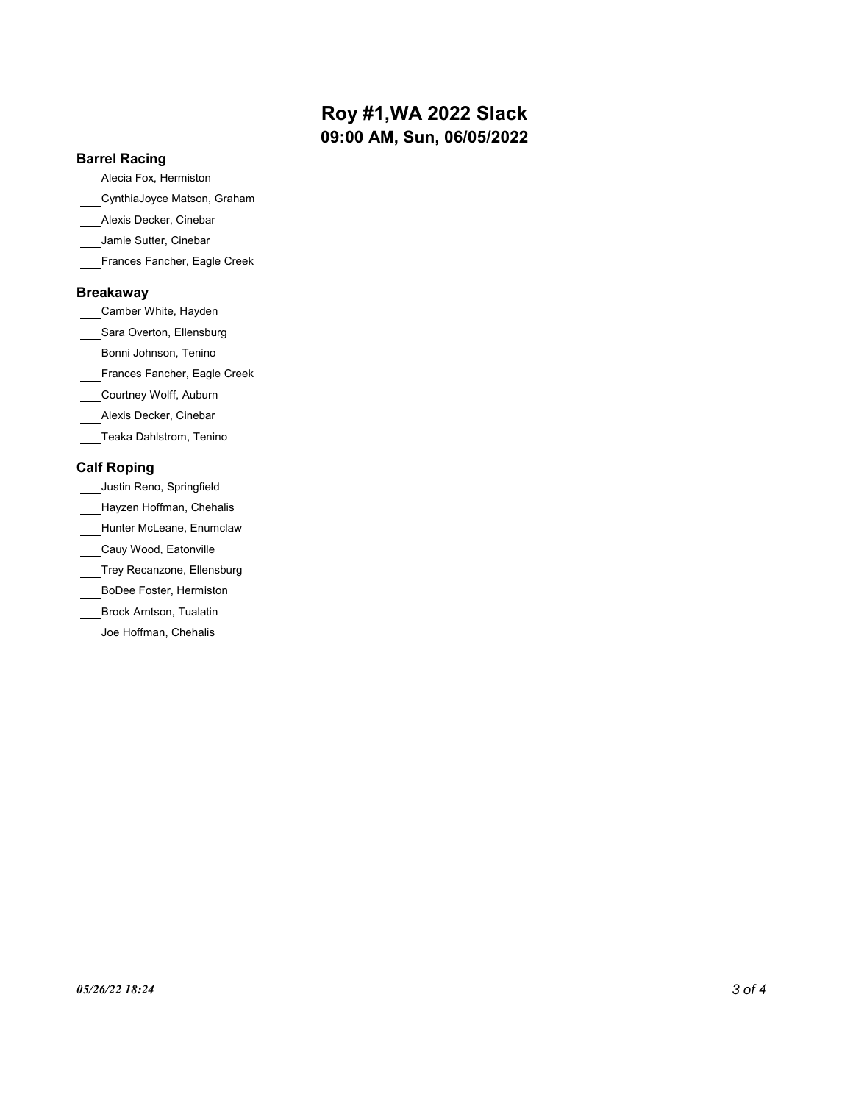## Roy #1,WA 2022 Slack 09:00 AM, Sun, 06/05/2022

#### Barrel Racing

Alecia Fox, Hermiston

CynthiaJoyce Matson, Graham

- Alexis Decker, Cinebar
- Jamie Sutter, Cinebar
- Frances Fancher, Eagle Creek

#### Breakaway

Camber White, Hayden

Sara Overton, Ellensburg

Bonni Johnson, Tenino

Frances Fancher, Eagle Creek

Courtney Wolff, Auburn

Alexis Decker, Cinebar

Teaka Dahlstrom, Tenino

#### Calf Roping

- Justin Reno, Springfield
- Hayzen Hoffman, Chehalis
- Hunter McLeane, Enumclaw
- \_\_Cauy Wood, Eatonville
- Trey Recanzone, Ellensburg
- BoDee Foster, Hermiston
- Brock Arntson, Tualatin
- Joe Hoffman, Chehalis